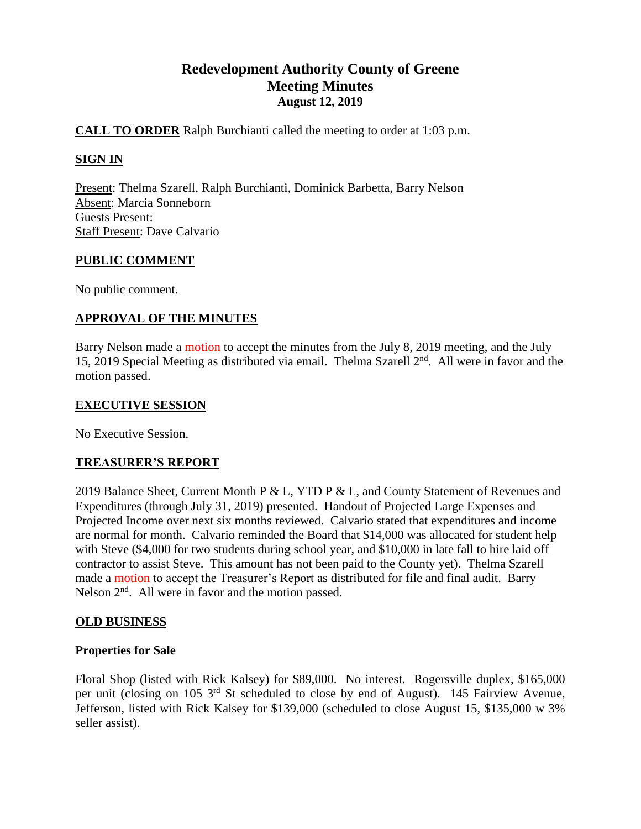# **Redevelopment Authority County of Greene Meeting Minutes August 12, 2019**

# **CALL TO ORDER** Ralph Burchianti called the meeting to order at 1:03 p.m.

# **SIGN IN**

Present: Thelma Szarell, Ralph Burchianti, Dominick Barbetta, Barry Nelson Absent: Marcia Sonneborn Guests Present: Staff Present: Dave Calvario

### **PUBLIC COMMENT**

No public comment.

# **APPROVAL OF THE MINUTES**

Barry Nelson made a motion to accept the minutes from the July 8, 2019 meeting, and the July 15, 2019 Special Meeting as distributed via email. Thelma Szarell  $2<sup>nd</sup>$ . All were in favor and the motion passed.

### **EXECUTIVE SESSION**

No Executive Session.

### **TREASURER'S REPORT**

2019 Balance Sheet, Current Month P & L, YTD P & L, and County Statement of Revenues and Expenditures (through July 31, 2019) presented. Handout of Projected Large Expenses and Projected Income over next six months reviewed. Calvario stated that expenditures and income are normal for month. Calvario reminded the Board that \$14,000 was allocated for student help with Steve (\$4,000 for two students during school year, and \$10,000 in late fall to hire laid off contractor to assist Steve. This amount has not been paid to the County yet). Thelma Szarell made a motion to accept the Treasurer's Report as distributed for file and final audit. Barry Nelson  $2<sup>nd</sup>$ . All were in favor and the motion passed.

### **OLD BUSINESS**

### **Properties for Sale**

Floral Shop (listed with Rick Kalsey) for \$89,000. No interest. Rogersville duplex, \$165,000 per unit (closing on 105 3<sup>rd</sup> St scheduled to close by end of August). 145 Fairview Avenue, Jefferson, listed with Rick Kalsey for \$139,000 (scheduled to close August 15, \$135,000 w 3% seller assist).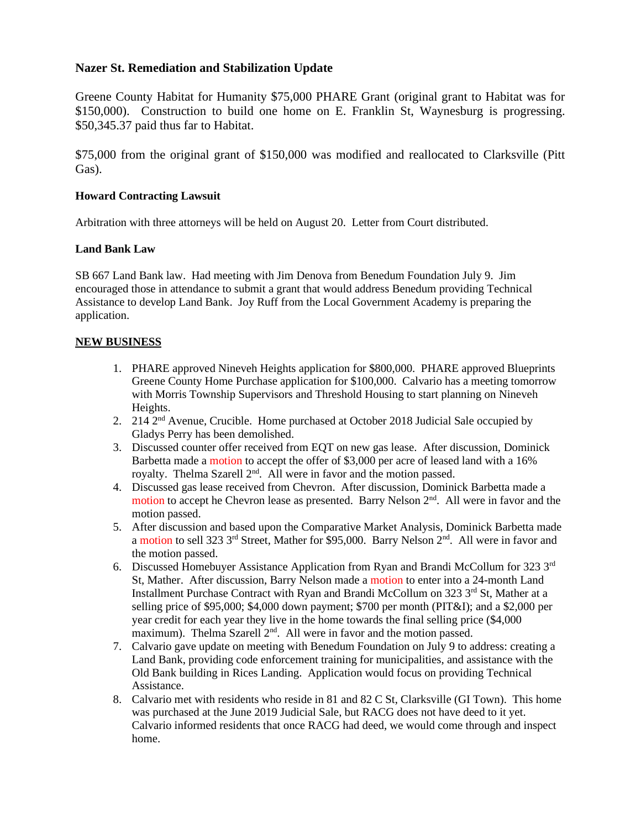#### **Nazer St. Remediation and Stabilization Update**

Greene County Habitat for Humanity \$75,000 PHARE Grant (original grant to Habitat was for \$150,000). Construction to build one home on E. Franklin St, Waynesburg is progressing. \$50,345.37 paid thus far to Habitat.

\$75,000 from the original grant of \$150,000 was modified and reallocated to Clarksville (Pitt Gas).

#### **Howard Contracting Lawsuit**

Arbitration with three attorneys will be held on August 20. Letter from Court distributed.

#### **Land Bank Law**

SB 667 Land Bank law. Had meeting with Jim Denova from Benedum Foundation July 9. Jim encouraged those in attendance to submit a grant that would address Benedum providing Technical Assistance to develop Land Bank. Joy Ruff from the Local Government Academy is preparing the application.

#### **NEW BUSINESS**

- 1. PHARE approved Nineveh Heights application for \$800,000. PHARE approved Blueprints Greene County Home Purchase application for \$100,000. Calvario has a meeting tomorrow with Morris Township Supervisors and Threshold Housing to start planning on Nineveh Heights.
- 2. 214 2nd Avenue, Crucible. Home purchased at October 2018 Judicial Sale occupied by Gladys Perry has been demolished.
- 3. Discussed counter offer received from EQT on new gas lease. After discussion, Dominick Barbetta made a motion to accept the offer of \$3,000 per acre of leased land with a 16% royalty. Thelma Szarell 2<sup>nd</sup>. All were in favor and the motion passed.
- 4. Discussed gas lease received from Chevron. After discussion, Dominick Barbetta made a motion to accept he Chevron lease as presented. Barry Nelson 2<sup>nd</sup>. All were in favor and the motion passed.
- 5. After discussion and based upon the Comparative Market Analysis, Dominick Barbetta made a motion to sell 323  $3<sup>rd</sup>$  Street, Mather for \$95,000. Barry Nelson  $2<sup>nd</sup>$ . All were in favor and the motion passed.
- 6. Discussed Homebuyer Assistance Application from Ryan and Brandi McCollum for 323  $3<sup>rd</sup>$ St, Mather. After discussion, Barry Nelson made a motion to enter into a 24-month Land Installment Purchase Contract with Ryan and Brandi McCollum on 323 3rd St, Mather at a selling price of \$95,000; \$4,000 down payment; \$700 per month (PIT&I); and a \$2,000 per year credit for each year they live in the home towards the final selling price (\$4,000 maximum). Thelma Szarell 2<sup>nd</sup>. All were in favor and the motion passed.
- 7. Calvario gave update on meeting with Benedum Foundation on July 9 to address: creating a Land Bank, providing code enforcement training for municipalities, and assistance with the Old Bank building in Rices Landing. Application would focus on providing Technical Assistance.
- 8. Calvario met with residents who reside in 81 and 82 C St, Clarksville (GI Town). This home was purchased at the June 2019 Judicial Sale, but RACG does not have deed to it yet. Calvario informed residents that once RACG had deed, we would come through and inspect home.